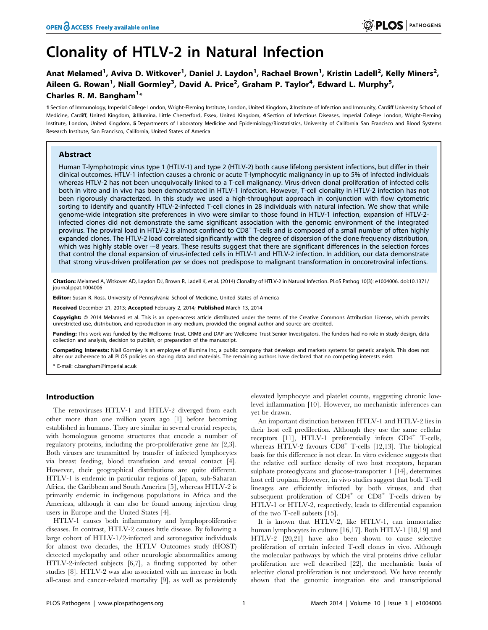# Clonality of HTLV-2 in Natural Infection

Anat Melamed<sup>1</sup>, Aviva D. Witkover<sup>1</sup>, Daniel J. Laydon<sup>1</sup>, Rachael Brown<sup>1</sup>, Kristin Ladell<sup>2</sup>, Kelly Miners<sup>2</sup>, Aileen G. Rowan<sup>1</sup>, Niall Gormley<sup>3</sup>, David A. Price<sup>2</sup>, Graham P. Taylor<sup>4</sup>, Edward L. Murphy<sup>5</sup>, Charles R. M. Bangham<sup>1\*</sup>

1 Section of Immunology, Imperial College London, Wright-Fleming Institute, London, United Kingdom, 2 Institute of Infection and Immunity, Cardiff University School of Medicine, Cardiff, United Kingdom, 3 Illumina, Little Chesterford, Essex, United Kingdom, 4 Section of Infectious Diseases, Imperial College London, Wright-Fleming Institute, London, United Kingdom, 5 Departments of Laboratory Medicine and Epidemiology/Biostatistics, University of California San Francisco and Blood Systems Research Institute, San Francisco, California, United States of America

# Abstract

Human T-lymphotropic virus type 1 (HTLV-1) and type 2 (HTLV-2) both cause lifelong persistent infections, but differ in their clinical outcomes. HTLV-1 infection causes a chronic or acute T-lymphocytic malignancy in up to 5% of infected individuals whereas HTLV-2 has not been unequivocally linked to a T-cell malignancy. Virus-driven clonal proliferation of infected cells both in vitro and in vivo has been demonstrated in HTLV-1 infection. However, T-cell clonality in HTLV-2 infection has not been rigorously characterized. In this study we used a high-throughput approach in conjunction with flow cytometric sorting to identify and quantify HTLV-2-infected T-cell clones in 28 individuals with natural infection. We show that while genome-wide integration site preferences in vivo were similar to those found in HTLV-1 infection, expansion of HTLV-2 infected clones did not demonstrate the same significant association with the genomic environment of the integrated provirus. The proviral load in HTLV-2 is almost confined to CD8<sup>+</sup> T-cells and is composed of a small number of often highly expanded clones. The HTLV-2 load correlated significantly with the degree of dispersion of the clone frequency distribution, which was highly stable over  $\sim$ 8 years. These results suggest that there are significant differences in the selection forces that control the clonal expansion of virus-infected cells in HTLV-1 and HTLV-2 infection. In addition, our data demonstrate that strong virus-driven proliferation per se does not predispose to malignant transformation in oncoretroviral infections.

Citation: Melamed A, Witkover AD, Laydon DJ, Brown R, Ladell K, et al. (2014) Clonality of HTLV-2 in Natural Infection. PLoS Pathog 10(3): e1004006. doi:10.1371/ journal.ppat.1004006

**Editor:** Susan R. Ross, University of Pennsylvania School of Medicine, United States of America

Received December 21, 2013; Accepted February 2, 2014; Published March 13, 2014

Copyright: © 2014 Melamed et al. This is an open-access article distributed under the terms of the [Creative Commons Attribution License,](http://creativecommons.org/licenses/by/4.0/) which permits unrestricted use, distribution, and reproduction in any medium, provided the original author and source are credited.

Funding: This work was funded by the Wellcome Trust. CRMB and DAP are Wellcome Trust Senior Investigators. The funders had no role in study design, data collection and analysis, decision to publish, or preparation of the manuscript.

Competing Interests: Niall Gormley is an employee of Illumina Inc, a public company that develops and markets systems for genetic analysis. This does not alter our adherence to all PLOS policies on sharing data and materials. The remaining authors have declared that no competing interests exist.

\* E-mail: c.bangham@imperial.ac.uk

## Introduction

The retroviruses HTLV-1 and HTLV-2 diverged from each other more than one million years ago [1] before becoming established in humans. They are similar in several crucial respects, with homologous genome structures that encode a number of regulatory proteins, including the pro-proliferative gene tax [2,3]. Both viruses are transmitted by transfer of infected lymphocytes via breast feeding, blood transfusion and sexual contact [4]. However, their geographical distributions are quite different. HTLV-1 is endemic in particular regions of Japan, sub-Saharan Africa, the Caribbean and South America [5], whereas HTLV-2 is primarily endemic in indigenous populations in Africa and the Americas, although it can also be found among injection drug users in Europe and the United States [4].

HTLV-1 causes both inflammatory and lymphoproliferative diseases. In contrast, HTLV-2 causes little disease. By following a large cohort of HTLV-1/2-infected and seronegative individuals for almost two decades, the HTLV Outcomes study (HOST) detected myelopathy and other neurologic abnormalities among HTLV-2-infected subjects [6,7], a finding supported by other studies [8]. HTLV-2 was also associated with an increase in both all-cause and cancer-related mortality [9], as well as persistently elevated lymphocyte and platelet counts, suggesting chronic lowlevel inflammation [10]. However, no mechanistic inferences can yet be drawn.

An important distinction between HTLV-1 and HTLV-2 lies in their host cell predilection. Although they use the same cellular receptors [11], HTLV-1 preferentially infects CD4<sup>+</sup> T-cells, whereas HTLV-2 favours  $CD8<sup>+</sup>$  T-cells [12,13]. The biological basis for this difference is not clear. In vitro evidence suggests that the relative cell surface density of two host receptors, heparan sulphate proteoglycans and glucose-transporter 1 [14], determines host cell tropism. However, in vivo studies suggest that both T-cell lineages are efficiently infected by both viruses, and that subsequent proliferation of  $CD4^+$  or  $CD8^+$  T-cells driven by HTLV-1 or HTLV-2, respectively, leads to differential expansion of the two T-cell subsets [15].

It is known that HTLV-2, like HTLV-1, can immortalize human lymphocytes in culture [16,17]. Both HTLV-1 [18,19] and HTLV-2 [20,21] have also been shown to cause selective proliferation of certain infected T-cell clones in vivo. Although the molecular pathways by which the viral proteins drive cellular proliferation are well described [22], the mechanistic basis of selective clonal proliferation is not understood. We have recently shown that the genomic integration site and transcriptional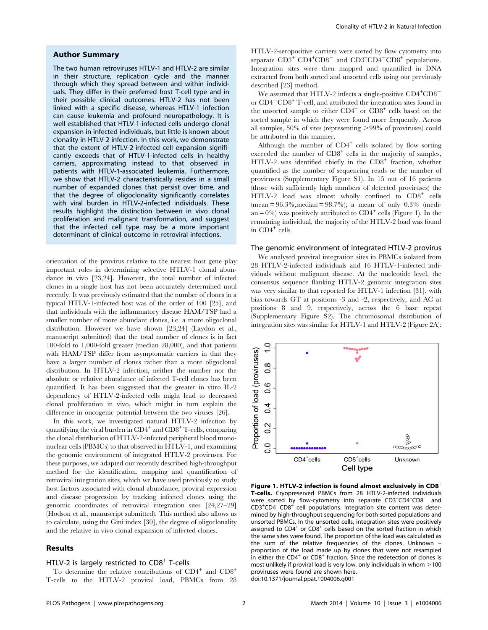#### Author Summary

The two human retroviruses HTLV-1 and HTLV-2 are similar in their structure, replication cycle and the manner through which they spread between and within individuals. They differ in their preferred host T-cell type and in their possible clinical outcomes. HTLV-2 has not been linked with a specific disease, whereas HTLV-1 infection can cause leukemia and profound neuropathology. It is well established that HTLV-1-infected cells undergo clonal expansion in infected individuals, but little is known about clonality in HTLV-2 infection. In this work, we demonstrate that the extent of HTLV-2-infected cell expansion significantly exceeds that of HTLV-1-infected cells in healthy carriers, approximating instead to that observed in patients with HTLV-1-associated leukemia. Furthermore, we show that HTLV-2 characteristically resides in a small number of expanded clones that persist over time, and that the degree of oligoclonality significantly correlates with viral burden in HTLV-2-infected individuals. These results highlight the distinction between in vivo clonal proliferation and malignant transformation, and suggest that the infected cell type may be a more important determinant of clinical outcome in retroviral infections.

orientation of the provirus relative to the nearest host gene play important roles in determining selective HTLV-1 clonal abundance in vivo [23,24]. However, the total number of infected clones in a single host has not been accurately determined until recently. It was previously estimated that the number of clones in a typical HTLV-1-infected host was of the order of 100 [25], and that individuals with the inflammatory disease HAM/TSP had a smaller number of more abundant clones, i.e. a more oligoclonal distribution. However we have shown [23,24] (Laydon et al., manuscript submitted) that the total number of clones is in fact 100-fold to 1,000-fold greater (median 28,000), and that patients with HAM/TSP differ from asymptomatic carriers in that they have a larger number of clones rather than a more oligoclonal distribution. In HTLV-2 infection, neither the number nor the absolute or relative abundance of infected T-cell clones has been quantified. It has been suggested that the greater in vitro IL-2 dependency of HTLV-2-infected cells might lead to decreased clonal proliferation in vivo, which might in turn explain the difference in oncogenic potential between the two viruses [26].

In this work, we investigated natural HTLV-2 infection by quantifying the viral burden in  $CD4^+$  and  $CD8^+$  T-cells, comparing the clonal distribution of HTLV-2-infected peripheral blood mononuclear cells (PBMCs) to that observed in HTLV-1, and examining the genomic environment of integrated HTLV-2 proviruses. For these purposes, we adapted our recently described high-throughput method for the identification, mapping and quantification of retroviral integration sites, which we have used previously to study host factors associated with clonal abundance, proviral expression and disease progression by tracking infected clones using the genomic coordinates of retroviral integration sites [24,27–29] (Hodson et al., manuscript submitted). This method also allows us to calculate, using the Gini index [30], the degree of oligoclonality and the relative in vivo clonal expansion of infected clones.

# Results

### HTLV-2 is largely restricted to  $CD8<sup>+</sup>$  T-cells

To determine the relative contributions of  $CD4^+$  and  $CD8^+$ T-cells to the HTLV-2 proviral load, PBMCs from 28 HTLV-2-seropositive carriers were sorted by flow cytometry into separate  $CD3^+$   $CD4^+CD8^-$  and  $CD3^+CD4^-CD8^+$  populations. Integration sites were then mapped and quantified in DNA extracted from both sorted and unsorted cells using our previously described [23] method.

We assumed that HTLV-2 infects a single-positive CD4<sup>+</sup>CD8<sup>-</sup> or  $CD4\degree$ CD8<sup>+</sup> T-cell, and attributed the integration sites found in the unsorted sample to either  $CD4^+$  or  $CD8^+$  cells based on the sorted sample in which they were found more frequently. Across all samples,  $50\%$  of sites (representing  $>99\%$  of proviruses) could be attributed in this manner.

Although the number of  $CD4^+$  cells isolated by flow sorting exceeded the number of  $CD8<sup>+</sup>$  cells in the majority of samples, HTLV-2 was identified chiefly in the CD8<sup>+</sup> fraction, whether quantified as the number of sequencing reads or the number of proviruses (Supplementary Figure S1). In 15 out of 16 patients (those with sufficiently high numbers of detected proviruses) the HTLV-2 load was almost wholly confined to CD8<sup>+</sup> cells  $(mean = 96.3\%, median = 98.7\%); a mean of only 0.3\% (median = 96.3\%);$ an =  $0\%$ ) was positively attributed to CD4<sup>+</sup> cells (Figure 1). In the remaining individual, the majority of the HTLV-2 load was found in  $CD4^+$  cells.

### The genomic environment of integrated HTLV-2 provirus

We analysed proviral integration sites in PBMCs isolated from 28 HTLV-2-infected individuals and 16 HTLV-1-infected individuals without malignant disease. At the nucleotide level, the consensus sequence flanking HTLV-2 genomic integration sites was very similar to that reported for HTLV-1 infection [31], with bias towards GT at positions -3 and -2, respectively, and AC at positions 8 and 9, respectively, across the 6 base repeat (Supplementary Figure S2). The chromosomal distribution of integration sites was similar for HTLV-1 and HTLV-2 (Figure 2A):



Figure 1. HTLV-2 infection is found almost exclusively in  $CDB<sup>+</sup>$ T-cells. Cryopreserved PBMCs from 28 HTLV-2-infected individuals were sorted by flow-cytometry into separate  $CD3^+CD4^+CD8^-$  and  $CD3+CDA-CDB<sup>2</sup>$  cell populations. Integration site content was determined by high-throughput sequencing for both sorted populations and unsorted PBMCs. In the unsorted cells, integration sites were positively assigned to CD4<sup>+</sup> or CD8<sup>+</sup> cells based on the sorted fraction in which the same sites were found. The proportion of the load was calculated as the sum of the relative frequencies of the clones. Unknown – proportion of the load made up by clones that were not resampled in either the  $CD4^+$  or  $CD8^+$  fraction. Since the redetection of clones is most unlikely if proviral load is very low, only individuals in whom  $>$ 100 proviruses were found are shown here. doi:10.1371/journal.ppat.1004006.g001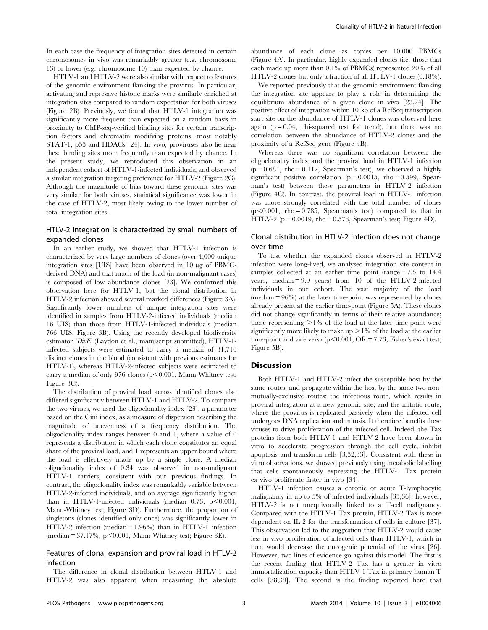In each case the frequency of integration sites detected in certain chromosomes in vivo was remarkably greater (e.g. chromosome 13) or lower (e.g. chromosome 10) than expected by chance.

HTLV-1 and HTLV-2 were also similar with respect to features of the genomic environment flanking the provirus. In particular, activating and repressive histone marks were similarly enriched at integration sites compared to random expectation for both viruses (Figure 2B). Previously, we found that HTLV-1 integration was significantly more frequent than expected on a random basis in proximity to ChIP-seq-verified binding sites for certain transcription factors and chromatin modifying proteins, most notably STAT-1, p53 and HDACs [24]. In vivo, proviruses also lie near these binding sites more frequently than expected by chance. In the present study, we reproduced this observation in an independent cohort of HTLV-1-infected individuals, and observed a similar integration targeting preference for HTLV-2 (Figure 2C). Although the magnitude of bias toward these genomic sites was very similar for both viruses, statistical significance was lower in the case of HTLV-2, most likely owing to the lower number of total integration sites.

# HTLV-2 integration is characterized by small numbers of expanded clones

In an earlier study, we showed that HTLV-1 infection is characterized by very large numbers of clones (over 4,000 unique integration sites [UIS] have been observed in 10 µg of PBMCderived DNA) and that much of the load (in non-malignant cases) is composed of low abundance clones [23]. We confirmed this observation here for HTLV-1, but the clonal distribution in HTLV-2 infection showed several marked differences (Figure 3A). Significantly lower numbers of unique integration sites were identified in samples from HTLV-2-infected individuals (median 16 UIS) than those from HTLV-1-infected individuals (median 766 UIS; Figure 3B). Using the recently developed biodiversity estimator 'DivE' (Laydon et al., manuscript submitted), HTLV-1 infected subjects were estimated to carry a median of 31,710 distinct clones in the blood (consistent with previous estimates for HTLV-1), whereas HTLV-2-infected subjects were estimated to carry a median of only 976 clones ( $p<0.001$ , Mann-Whitney test; Figure 3C).

The distribution of proviral load across identified clones also differed significantly between HTLV-1 and HTLV-2. To compare the two viruses, we used the oligoclonality index [23], a parameter based on the Gini index, as a measure of dispersion describing the magnitude of unevenness of a frequency distribution. The oligoclonality index ranges between 0 and 1, where a value of 0 represents a distribution in which each clone constitutes an equal share of the proviral load, and 1 represents an upper bound where the load is effectively made up by a single clone. A median oligoclonality index of 0.34 was observed in non-malignant HTLV-1 carriers, consistent with our previous findings. In contrast, the oligoclonality index was remarkably variable between HTLV-2-infected individuals, and on average significantly higher than in HTLV-1-infected individuals (median  $0.73$ ,  $p<0.001$ , Mann-Whitney test; Figure 3D). Furthermore, the proportion of singletons (clones identified only once) was significantly lower in HTLV-2 infection (median = 1.96%) than in HTLV-1 infection (median  $= 37.17\%$ , p $< 0.001$ , Mann-Whitney test; Figure 3E).

# Features of clonal expansion and proviral load in HTLV-2 infection

The difference in clonal distribution between HTLV-1 and HTLV-2 was also apparent when measuring the absolute

abundance of each clone as copies per 10,000 PBMCs (Figure 4A). In particular, highly expanded clones (i.e. those that each made up more than 0.1% of PBMCs) represented 20% of all HTLV-2 clones but only a fraction of all HTLV-1 clones (0.18%).

We reported previously that the genomic environment flanking the integration site appears to play a role in determining the equilibrium abundance of a given clone in vivo [23,24]. The positive effect of integration within 10 kb of a RefSeq transcription start site on the abundance of HTLV-1 clones was observed here again  $(p = 0.04$ , chi-squared test for trend), but there was no correlation between the abundance of HTLV-2 clones and the proximity of a RefSeq gene (Figure 4B).

Whereas there was no significant correlation between the oligoclonality index and the proviral load in HTLV-1 infection  $(p = 0.681, rho = 0.112, Spearman's test)$ , we observed a highly significant positive correlation ( $p = 0.0015$ , rho = 0.599, Spearman's test) between these parameters in HTLV-2 infection (Figure 4C). In contrast, the proviral load in HTLV-1 infection was more strongly correlated with the total number of clones  $(p<0.001$ , rho = 0.785, Spearman's test) compared to that in HTLV-2 ( $p = 0.0019$ , rho = 0.578, Spearman's test; Figure 4D).

# Clonal distribution in HTLV-2 infection does not change over time

To test whether the expanded clones observed in HTLV-2 infection were long-lived, we analysed integration site content in samples collected at an earlier time point (range = 7.5 to 14.4 years, median = 9.9 years) from 10 of the HTLV-2-infected individuals in our cohort. The vast majority of the load  $(\text{median} = 96\%)$  at the later time-point was represented by clones already present at the earlier time-point (Figure 5A). These clones did not change significantly in terms of their relative abundance; those representing  $>1\%$  of the load at the later time-point were significantly more likely to make up  $>1\%$  of the load at the earlier time-point and vice versa ( $p$ <0.001, OR = 7.73, Fisher's exact test; Figure 5B).

# Discussion

Both HTLV-1 and HTLV-2 infect the susceptible host by the same routes, and propagate within the host by the same two nonmutually-exclusive routes: the infectious route, which results in proviral integration at a new genomic site; and the mitotic route, where the provirus is replicated passively when the infected cell undergoes DNA replication and mitosis. It therefore benefits these viruses to drive proliferation of the infected cell. Indeed, the Tax proteins from both HTLV-1 and HTLV-2 have been shown in vitro to accelerate progression through the cell cycle, inhibit apoptosis and transform cells [3,32,33]. Consistent with these in vitro observations, we showed previously using metabolic labelling that cells spontaneously expressing the HTLV-1 Tax protein ex vivo proliferate faster in vivo [34].

HTLV-1 infection causes a chronic or acute T-lymphocytic malignancy in up to 5% of infected individuals [35,36]; however, HTLV-2 is not unequivocally linked to a T-cell malignancy. Compared with the HTLV-1 Tax protein, HTLV-2 Tax is more dependent on IL-2 for the transformation of cells in culture [37]. This observation led to the suggestion that HTLV-2 would cause less in vivo proliferation of infected cells than HTLV-1, which in turn would decrease the oncogenic potential of the virus [26]. However, two lines of evidence go against this model. The first is the recent finding that HTLV-2 Tax has a greater in vitro immortalization capacity than HTLV-1 Tax in primary human T cells [38,39]. The second is the finding reported here that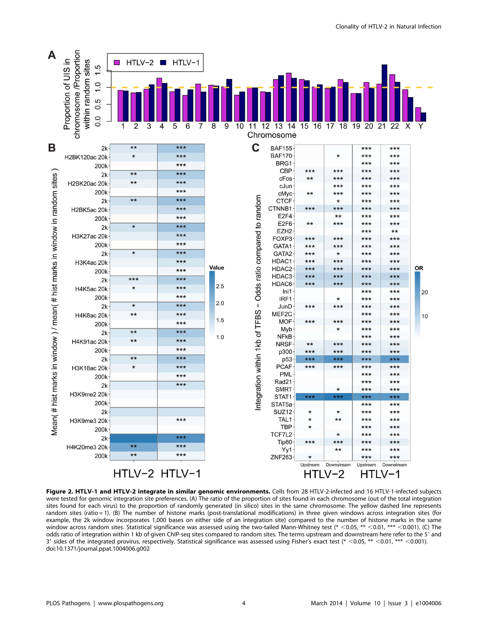

Figure 2. HTLV-1 and HTLV-2 integrate in similar genomic environments. Cells from 28 HTLV-2-infected and 16 HTLV-1-infected subjects were tested for genomic integration site preferences. (A) The ratio of the proportion of sites found in each chromosome (out of the total integration sites found for each virus) to the proportion of randomly generated (in silico) sites in the same chromosome. The yellow dashed line represents random sites (ratio = 1). (B) The number of histone marks (post-translational modifications) in three given windows across integration sites (for example, the 2k window incorporates 1,000 bases on either side of an integration site) compared to the number of histone marks in the same window across random sites. Statistical significance was assessed using the two-tailed Mann-Whitney test (\*  $<$  0.05, \*\*  $<$  0.01, \*\*\*  $<$  0.001). (C) The odds ratio of integration within 1 kb of given ChIP-seg sites compared to random sites. The terms upstream and downstream here refer to the 5' and 3' sides of the integrated provirus, respectively. Statistical significance was assessed using Fisher's exact test (\* <0.05, \*\* <0.001, \*\*\* <0.001). doi:10.1371/journal.ppat.1004006.g002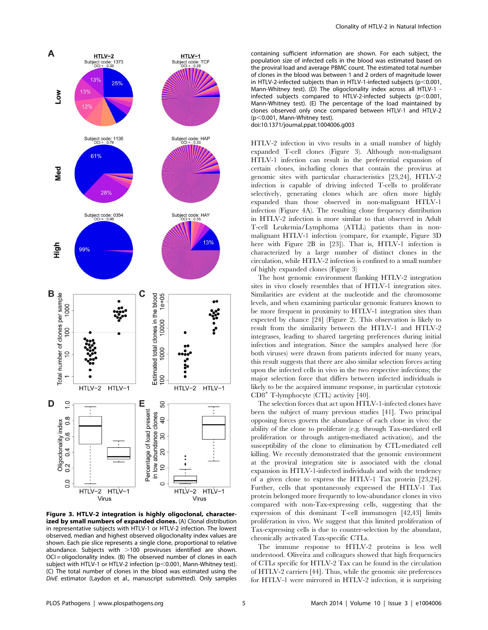

Figure 3. HTLV-2 integration is highly oligoclonal, characterized by small numbers of expanded clones. (A) Clonal distribution in representative subjects with HTLV-1 or HTLV-2 infection. The lowest observed, median and highest observed oligoclonality index values are shown. Each pie slice represents a single clone, proportional to relative abundance. Subjects with  $>100$  proviruses identified are shown.  $OCI =$  oligoclonality index. (B) The observed number of clones in each subject with HTLV-1 or HTLV-2 infection ( $p$ <0.001, Mann-Whitney test). (C) The total number of clones in the blood was estimated using the DivE estimator (Laydon et al., manuscript submitted). Only samples

containing sufficient information are shown. For each subject, the population size of infected cells in the blood was estimated based on the proviral load and average PBMC count. The estimated total number of clones in the blood was between 1 and 2 orders of magnitude lower in HTLV-2-infected subjects than in HTLV-1-infected subjects ( $p<0.001$ , Mann-Whitney test). (D) The oligoclonality index across all HTLV-1 infected subjects compared to HTLV-2-infected subjects ( $p$ <0.001, Mann-Whitney test). (E) The percentage of the load maintained by clones observed only once compared between HTLV-1 and HTLV-2  $(p<0.001$ , Mann-Whitney test). doi:10.1371/journal.ppat.1004006.g003

HTLV-2 infection in vivo results in a small number of highly expanded T-cell clones (Figure 3). Although non-malignant HTLV-1 infection can result in the preferential expansion of certain clones, including clones that contain the provirus at genomic sites with particular characteristics [23,24], HTLV-2 infection is capable of driving infected T-cells to proliferate selectively, generating clones which are often more highly expanded than those observed in non-malignant HTLV-1 infection (Figure 4A). The resulting clone frequency distribution in HTLV-2 infection is more similar to that observed in Adult T-cell Leukemia/Lymphoma (ATLL) patients than in nonmalignant HTLV-1 infection (compare, for example, Figure 3D here with Figure 2B in [23]). That is, HTLV-1 infection is characterized by a large number of distinct clones in the circulation, while HTLV-2 infection is confined to a small number of highly expanded clones (Figure 3)

The host genomic environment flanking HTLV-2 integration sites in vivo closely resembles that of HTLV-1 integration sites. Similarities are evident at the nucleotide and the chromosome levels, and when examining particular genomic features known to be more frequent in proximity to HTLV-1 integration sites than expected by chance [24] (Figure 2). This observation is likely to result from the similarity between the HTLV-1 and HTLV-2 integrases, leading to shared targeting preferences during initial infection and integration. Since the samples analysed here (for both viruses) were drawn from patients infected for many years, this result suggests that there are also similar selection forces acting upon the infected cells in vivo in the two respective infections; the major selection force that differs between infected individuals is likely to be the acquired immune response, in particular cytotoxic CD8<sup>+</sup> T-lymphocyte (CTL) activity [40].

The selection forces that act upon HTLV-1-infected clones have been the subject of many previous studies [41]. Two principal opposing forces govern the abundance of each clone in vivo: the ability of the clone to proliferate (e.g. through Tax-mediated cell proliferation or through antigen-mediated activation), and the susceptibility of the clone to elimination by CTL-mediated cell killing. We recently demonstrated that the genomic environment at the proviral integration site is associated with the clonal expansion in HTLV-1-infected individuals and with the tendency of a given clone to express the HTLV-1 Tax protein [23,24]. Further, cells that spontaneously expressed the HTLV-1 Tax protein belonged more frequently to low-abundance clones in vivo compared with non-Tax-expressing cells, suggesting that the expression of this dominant T-cell immunogen [42,43] limits proliferation in vivo. We suggest that this limited proliferation of Tax-expressing cells is due to counter-selection by the abundant, chronically activated Tax-specific CTLs.

The immune response to HTLV-2 proteins is less well understood. Oliveira and colleagues showed that high frequencies of CTLs specific for HTLV-2 Tax can be found in the circulation of HTLV-2 carriers [44]. Thus, while the genomic site preferences for HTLV-1 were mirrored in HTLV-2 infection, it is surprising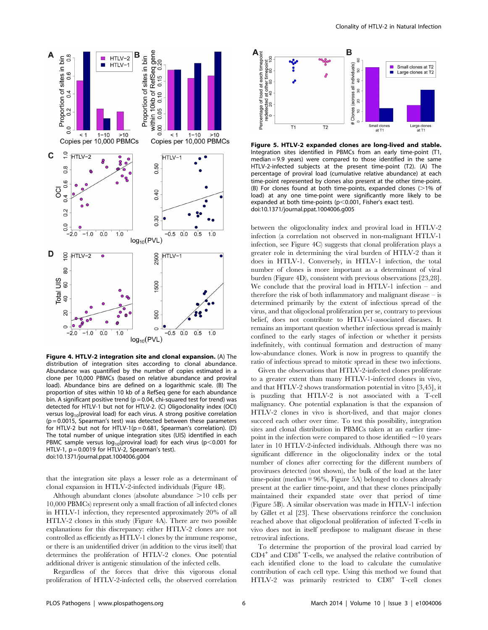![](_page_5_Figure_0.jpeg)

Figure 4. HTLV-2 integration site and clonal expansion. (A) The distribution of integration sites according to clonal abundance. Abundance was quantified by the number of copies estimated in a clone per 10,000 PBMCs (based on relative abundance and proviral load). Abundance bins are defined on a logarithmic scale. (B) The proportion of sites within 10 kb of a RefSeq gene for each abundance bin. A significant positive trend ( $p = 0.04$ , chi-squared test for trend) was detected for HTLV-1 but not for HTLV-2. (C) Oligoclonality index (OCI) versus log<sub>10</sub>(proviral load) for each virus. A strong positive correlation (p = 0.0015, Spearman's test) was detected between these parameters for HTLV-2 but not for HTLV-1( $p = 0.681$ , Spearman's correlation). (D) The total number of unique integration sites (UIS) identified in each PBMC sample versus  $log_{10}(p_{\text{roviral}})$  for each virus (p<0.001 for HTLV-1,  $p = 0.0019$  for HTLV-2, Spearman's test). doi:10.1371/journal.ppat.1004006.g004

that the integration site plays a lesser role as a determinant of clonal expansion in HTLV-2-infected individuals (Figure 4B).

Although abundant clones (absolute abundance  $>10$  cells per 10,000 PBMCs) represent only a small fraction of all infected clones in HTLV-1 infection, they represented approximately 20% of all HTLV-2 clones in this study (Figure 4A). There are two possible explanations for this discrepancy: either HTLV-2 clones are not controlled as efficiently as HTLV-1 clones by the immune response, or there is an unidentified driver (in addition to the virus itself) that determines the proliferation of HTLV-2 clones. One potential additional driver is antigenic stimulation of the infected cells.

Regardless of the forces that drive this vigorous clonal proliferation of HTLV-2-infected cells, the observed correlation

![](_page_5_Figure_6.jpeg)

Figure 5. HTLV-2 expanded clones are long-lived and stable. Integration sites identified in PBMCs from an early time-point (T1, median = 9.9 years) were compared to those identified in the same HTLV-2-infected subjects at the present time-point (T2). (A) The percentage of proviral load (cumulative relative abundance) at each time-point represented by clones also present at the other time-point. (B) For clones found at both time-points, expanded clones ( $>1\%$  of load) at any one time-point were significantly more likely to be expanded at both time-points ( $p<0.001$ , Fisher's exact test). doi:10.1371/journal.ppat.1004006.g005

between the oligoclonality index and proviral load in HTLV-2 infection (a correlation not observed in non-malignant HTLV-1 infection, see Figure 4C) suggests that clonal proliferation plays a greater role in determining the viral burden of HTLV-2 than it does in HTLV-1. Conversely, in HTLV-1 infection, the total number of clones is more important as a determinant of viral burden (Figure 4D), consistent with previous observations [23,28]. We conclude that the proviral load in HTLV-1 infection – and therefore the risk of both inflammatory and malignant disease – is determined primarily by the extent of infectious spread of the virus, and that oligoclonal proliferation per se, contrary to previous belief, does not contribute to HTLV-1-associated diseases. It remains an important question whether infectious spread is mainly confined to the early stages of infection or whether it persists indefinitely, with continual formation and destruction of many low-abundance clones. Work is now in progress to quantify the ratio of infectious spread to mitotic spread in these two infections.

Given the observations that HTLV-2-infected clones proliferate to a greater extent than many HTLV-1-infected clones in vivo, and that HTLV-2 shows transformation potential in vitro [3,45], it is puzzling that HTLV-2 is not associated with a T-cell malignancy. One potential explanation is that the expansion of HTLV-2 clones in vivo is short-lived, and that major clones succeed each other over time. To test this possibility, integration sites and clonal distribution in PBMCs taken at an earlier timepoint in the infection were compared to those identified  $\sim$ 10 years later in 10 HTLV-2-infected individuals. Although there was no significant difference in the oligoclonality index or the total number of clones after correcting for the different numbers of proviruses detected (not shown), the bulk of the load at the later time-point (median = 96%, Figure 5A) belonged to clones already present at the earlier time-point, and that these clones principally maintained their expanded state over that period of time (Figure 5B). A similar observation was made in HTLV-1 infection by Gillet et al [23]. These observations reinforce the conclusion reached above that oligoclonal proliferation of infected T-cells in vivo does not in itself predispose to malignant disease in these retroviral infections.

To determine the proportion of the proviral load carried by  $CD4^+$  and  $CD8^+$  T-cells, we analysed the relative contribution of each identified clone to the load to calculate the cumulative contribution of each cell type. Using this method we found that HTLV-2 was primarily restricted to CD8<sup>+</sup> T-cell clones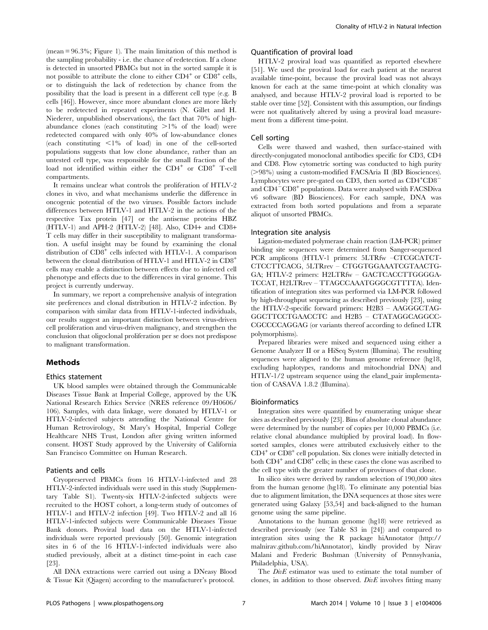(mean = 96.3%; Figure 1). The main limitation of this method is the sampling probability - i.e. the chance of redetection. If a clone is detected in unsorted PBMCs but not in the sorted sample it is not possible to attribute the clone to either  $CD4^+$  or  $CD8^+$  cells, or to distinguish the lack of redetection by chance from the possibility that the load is present in a different cell type (e.g. B cells [46]). However, since more abundant clones are more likely to be redetected in repeated experiments (N. Gillet and H. Niederer, unpublished observations), the fact that 70% of highabundance clones (each constituting  $>1\%$  of the load) were redetected compared with only 40% of low-abundance clones (each constituting  $\langle 1\%$  of load) in one of the cell-sorted populations suggests that low clone abundance, rather than an untested cell type, was responsible for the small fraction of the load not identified within either the CD4<sup>+</sup> or CD8<sup>+</sup> T-cell compartments.

It remains unclear what controls the proliferation of HTLV-2 clones in vivo, and what mechanisms underlie the difference in oncogenic potential of the two viruses. Possible factors include differences between HTLV-1 and HTLV-2 in the actions of the respective Tax protein [47] or the antisense proteins HBZ (HTLV-1) and APH-2 (HTLV-2) [48]. Also, CD4+ and CD8+ T cells may differ in their susceptibility to malignant transformation. A useful insight may be found by examining the clonal distribution of CD8<sup>+</sup> cells infected with HTLV-1. A comparison between the clonal distribution of HTLV-1 and HTLV-2 in CD8<sup>+</sup> cells may enable a distinction between effects due to infected cell phenotype and effects due to the differences in viral genome. This project is currently underway.

In summary, we report a comprehensive analysis of integration site preferences and clonal distribution in HTLV-2 infection. By comparison with similar data from HTLV-1-infected individuals, our results suggest an important distinction between virus-driven cell proliferation and virus-driven malignancy, and strengthen the conclusion that oligoclonal proliferation per se does not predispose to malignant transformation.

# Methods

#### Ethics statement

UK blood samples were obtained through the Communicable Diseases Tissue Bank at Imperial College, approved by the UK National Research Ethics Service (NRES reference 09/H0606/ 106). Samples, with data linkage, were donated by HTLV-1 or HTLV-2-infected subjects attending the National Centre for Human Retrovirology, St Mary's Hospital, Imperial College Healthcare NHS Trust, London after giving written informed consent. HOST Study approved by the University of California San Francisco Committee on Human Research.

#### Patients and cells

Cryopreserved PBMCs from 16 HTLV-1-infected and 28 HTLV-2-infected individuals were used in this study (Supplementary Table S1). Twenty-six HTLV-2-infected subjects were recruited to the HOST cohort, a long-term study of outcomes of HTLV-1 and HTLV-2 infection [49]. Two HTLV-2 and all 16 HTLV-1-infected subjects were Communicable Diseases Tissue Bank donors. Proviral load data on the HTLV-1-infected individuals were reported previously [50]. Genomic integration sites in 6 of the 16 HTLV-1-infected individuals were also studied previously, albeit at a distinct time-point in each case [23].

All DNA extractions were carried out using a DNeasy Blood & Tissue Kit (Qiagen) according to the manufacturer's protocol.

## Quantification of proviral load

HTLV-2 proviral load was quantified as reported elsewhere [51]. We used the proviral load for each patient at the nearest available time-point, because the proviral load was not always known for each at the same time-point at which clonality was analysed, and because HTLV-2 proviral load is reported to be stable over time [52]. Consistent with this assumption, our findings were not qualitatively altered by using a proviral load measurement from a different time-point.

# Cell sorting

Cells were thawed and washed, then surface-stained with directly-conjugated monoclonal antibodies specific for CD3, CD4 and CD8. Flow cytometric sorting was conducted to high purity (>98%) using a custom-modified FACSAria II (BD Biosciences). Lymphocytes were pre-gated on CD3, then sorted as  $CD4^+CD8^$ and  $CD4-CD8<sup>+</sup>$  populations. Data were analysed with FACSDiva v6 software (BD Biosciences). For each sample, DNA was extracted from both sorted populations and from a separate aliquot of unsorted PBMCs.

#### Integration site analysis

Ligation-mediated polymerase chain reaction (LM-PCR) primer binding site sequences were determined from Sanger-sequenced PCR amplicons (HTLV-1 primers: 5LTRfw –CTCGCATCT-CTCCTTCACG, 5LTRrev – CTGGTGGAAATCGTAACTG-GA; HTLV-2 primers: H2LTRfw – GACTCACCTTGGGGA-TCCAT, H2LTRrev – TTAGCCAAATGGGCGTTTTA). Identification of integration sites was performed via LM-PCR followed by high-throughput sequencing as described previously [23], using the HTLV-2-specific forward primers: H2B3 – AAGGGCTAG-GGCTTCCTGAACCTC and H2B5 – CTATAGGCAGGCC-CGCCCCAGGAG (or variants thereof according to defined LTR polymorphisms).

Prepared libraries were mixed and sequenced using either a Genome Analyzer II or a HiSeq System (Illumina). The resulting sequences were aligned to the human genome reference (hg18, excluding haplotypes, randoms and mitochondrial DNA) and HTLV-1/2 upstream sequence using the eland\_pair implementation of CASAVA 1.8.2 (Illumina).

#### Bioinformatics

Integration sites were quantified by enumerating unique shear sites as described previously [23]. Bins of absolute clonal abundance were determined by the number of copies per 10,000 PBMCs (i.e. relative clonal abundance multiplied by proviral load). In flowsorted samples, clones were attributed exclusively either to the  $CD4<sup>+</sup>$  or  $CD8<sup>+</sup>$  cell population. Six clones were initially detected in both  $CD4^+$  and  $CD8^+$  cells; in these cases the clone was ascribed to the cell type with the greater number of proviruses of that clone.

In silico sites were derived by random selection of 190,000 sites from the human genome (hg18). To eliminate any potential bias due to alignment limitation, the DNA sequences at those sites were generated using Galaxy [53,54] and back-aligned to the human genome using the same pipeline.

Annotations to the human genome (hg18) were retrieved as described previously (see Table S3 in [24]) and compared to integration sites using the R package hiAnnotator ([http://](http://malnirav.github.com/hiAnnotator) [malnirav.github.com/hiAnnotator](http://malnirav.github.com/hiAnnotator)), kindly provided by Nirav Malani and Frederic Bushman (University of Pennsylvania, Philadelphia, USA).

The *DivE* estimator was used to estimate the total number of clones, in addition to those observed.  $DivE$  involves fitting many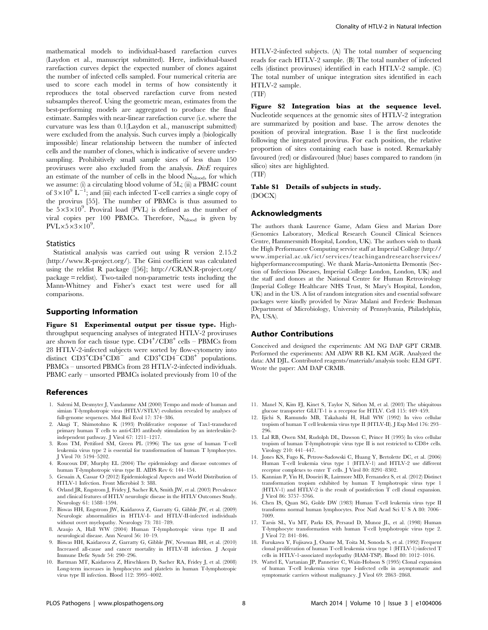mathematical models to individual-based rarefaction curves (Laydon et al., manuscript submitted). Here, individual-based rarefaction curves depict the expected number of clones against the number of infected cells sampled. Four numerical criteria are used to score each model in terms of how consistently it reproduces the total observed rarefaction curve from nested subsamples thereof. Using the geometric mean, estimates from the best-performing models are aggregated to produce the final estimate. Samples with near-linear rarefaction curve (i.e. where the curvature was less than 0.1(Laydon et al., manuscript submitted) were excluded from the analysis. Such curves imply a (biologically impossible) linear relationship between the number of infected cells and the number of clones, which is indicative of severe undersampling. Prohibitively small sample sizes of less than 150 proviruses were also excluded from the analysis. DivE requires an estimate of the number of cells in the blood N<sub>blood</sub>, for which we assume: (i) a circulating blood volume of 5L; (ii) a PBMC count of  $3\times10^9$  L<sup>-1</sup>; and (iii) each infected T-cell carries a single copy of the provirus [55]. The number of PBMCs is thus assumed to be  $5 \times 3 \times 10^9$ . Proviral load (PVL) is defined as the number of viral copies per 100 PBMCs. Therefore,  $N_{\text{blood}}$  is given by  $PVL \times 5 \times 3 \times 10^9$ .

## **Statistics**

Statistical analysis was carried out using R version 2.15.2 [\(http://www.R-project.org/](http://www.R-project.org/)). The Gini coefficient was calculated using the reldist R package ([56]; [http://CRAN.R-project.org/](http://CRAN.R-project.org/package=reldist) [package = reldist\)](http://CRAN.R-project.org/package=reldist). Two-tailed non-parametric tests including the Mann-Whitney and Fisher's exact test were used for all comparisons.

# Supporting Information

Figure S1 Experimental output per tissue type. Highthroughput sequencing analyses of integrated HTLV-2 proviruses are shown for each tissue type.  $CD4^+/CD8^+$  cells – PBMCs from 28 HTLV-2-infected subjects were sorted by flow-cytometry into distinct  $CD3^+CD4^+CD8^-$  and  $CD3^+CD4^-CD8^+$  populations. PBMCs – unsorted PBMCs from 28 HTLV-2-infected individuals. PBMC early – unsorted PBMCs isolated previously from 10 of the

# References

- 1. Salemi M, Desmyter J, Vandamme AM (2000) Tempo and mode of human and simian T-lymphotropic virus (HTLV/STLV) evolution revealed by analyses of full-genome sequences. Mol Biol Evol 17: 374–386.
- 2. Akagi T, Shimotohno K (1993) Proliferative response of Tax1-transduced primary human T cells to anti-CD3 antibody stimulation by an interleukin-2 independent pathway. J Virol 67: 1211–1217.
- 3. Ross TM, Pettiford SM, Green PL (1996) The tax gene of human T-cell leukemia virus type 2 is essential for transformation of human T lymphocytes. J Virol 70: 5194–5202.
- 4. Roucoux DF, Murphy EL (2004) The epidemiology and disease outcomes of human T-lymphotropic virus type II. AIDS Rev 6: 144–154.
- 5. Gessain A, Cassar O (2012) Epidemiological Aspects and World Distribution of HTLV-1 Infection. Front Microbiol 3: 388.
- 6. Orland JR, Engstrom J, Fridey J, Sacher RA, Smith JW, et al. (2003) Prevalence and clinical features of HTLV neurologic disease in the HTLV Outcomes Study. Neurology 61: 1588–1594.
- 7. Biswas HH, Engstrom JW, Kaidarova Z, Garratty G, Gibble JW, et al. (2009) Neurologic abnormalities in HTLV-I- and HTLV-II-infected individuals without overt myelopathy. Neurology 73: 781–789.
- 8. Araujo A, Hall WW (2004) Human T-lymphotropic virus type II and neurological disease. Ann Neurol 56: 10–19.
- 9. Biswas HH, Kaidarova Z, Garratty G, Gibble JW, Newman BH, et al. (2010) Increased all-cause and cancer mortality in HTLV-II infection. J Acquir Immune Defic Syndr 54: 290–296.
- 10. Bartman MT, Kaidarova Z, Hirschkorn D, Sacher RA, Fridey J, et al. (2008) Long-term increases in lymphocytes and platelets in human T-lymphotropic virus type II infection. Blood 112: 3995–4002.

HTLV-2-infected subjects. (A) The total number of sequencing reads for each HTLV-2 sample. (B) The total number of infected cells (distinct proviruses) identified in each HTLV-2 sample. (C) The total number of unique integration sites identified in each HTLV-2 sample.

(TIF)

Figure S2 Integration bias at the sequence level. Nucleotide sequences at the genomic sites of HTLV-2 integration are summarized by position and base. The arrow denotes the position of proviral integration. Base 1 is the first nucleotide following the integrated provirus. For each position, the relative proportion of sites containing each base is noted. Remarkably favoured (red) or disfavoured (blue) bases compared to random (in silico) sites are highlighted.

(TIF)

# Table S1 Details of subjects in study. (DOCX)

#### Acknowledgments

The authors thank Laurence Game, Adam Giess and Marian Dore (Genomics Laboratory, Medical Research Council Clinical Sciences Centre, Hammersmith Hospital, London, UK). The authors wish to thank the High Performance Computing service staff at Imperial College ([http://](http://www.imperial.ac.uk/ict/services/teachingandresearchservices/highperformancecomputing) [www.imperial.ac.uk/ict/services/teachingandresearchservices/](http://www.imperial.ac.uk/ict/services/teachingandresearchservices/highperformancecomputing) [highperformancecomputing](http://www.imperial.ac.uk/ict/services/teachingandresearchservices/highperformancecomputing)). We thank Maria-Antonietta Demontis (Section of Infectious Diseases, Imperial College London, London, UK) and the staff and donors at the National Centre for Human Retrovirology (Imperial College Healthcare NHS Trust, St Mary's Hospital, London, UK) and in the US. A list of random integration sites and essential software packages were kindly provided by Nirav Malani and Frederic Bushman (Department of Microbiology, University of Pennsylvania, Philadelphia, PA, USA).

# Author Contributions

Conceived and designed the experiments: AM NG DAP GPT CRMB. Performed the experiments: AM ADW RB KL KM AGR. Analyzed the data: AM DJL. Contributed reagents/materials/analysis tools: ELM GPT. Wrote the paper: AM DAP CRMB.

- 11. Manel N, Kim FJ, Kinet S, Taylor N, Sitbon M, et al. (2003) The ubiquitous glucose transporter GLUT-1 is a receptor for HTLV. Cell 115: 449–459.
- 12. Ijichi S, Ramundo MB, Takahashi H, Hall WW (1992) In vivo cellular tropism of human T cell leukemia virus type II (HTLV-II). J Exp Med 176: 293– 296.
- 13. Lal RB, Owen SM, Rudolph DL, Dawson C, Prince H (1995) In vivo cellular tropism of human T-lymphotropic virus type II is not restricted to CD8+ cells. Virology 210: 441–447.
- 14. Jones KS, Fugo K, Petrow-Sadowski C, Huang Y, Bertolette DC, et al. (2006) Human T-cell leukemia virus type 1 (HTLV-1) and HTLV-2 use different receptor complexes to enter T cells. J Virol 80: 8291–8302.
- 15. Kannian P, Yin H, Doueiri R, Lairmore MD, Fernandez S, et al. (2012) Distinct transformation tropism exhibited by human T lymphotropic virus type 1 (HTLV-1) and HTLV-2 is the result of postinfection T cell clonal expansion. J Virol 86: 3757–3766.
- 16. Chen IS, Quan SG, Golde DW (1983) Human T-cell leukemia virus type II transforms normal human lymphocytes. Proc Natl Acad Sci U S A 80: 7006– 7009.
- 17. Tarsis SL, Yu MT, Parks ES, Persaud D, Munoz JL, et al. (1998) Human T-lymphocyte transformation with human T-cell lymphotropic virus type 2. J Virol 72: 841–846.
- 18. Furukawa Y, Fujisawa J, Osame M, Toita M, Sonoda S, et al. (1992) Frequent clonal proliferation of human T-cell leukemia virus type 1 (HTLV-1)-infected T cells in HTLV-1-associated myelopathy (HAM-TSP). Blood 80: 1012–1016.
- 19. Wattel E, Vartanian JP, Pannetier C, Wain-Hobson S (1995) Clonal expansion of human T-cell leukemia virus type I-infected cells in asymptomatic and symptomatic carriers without malignancy. J Virol 69: 2863–2868.